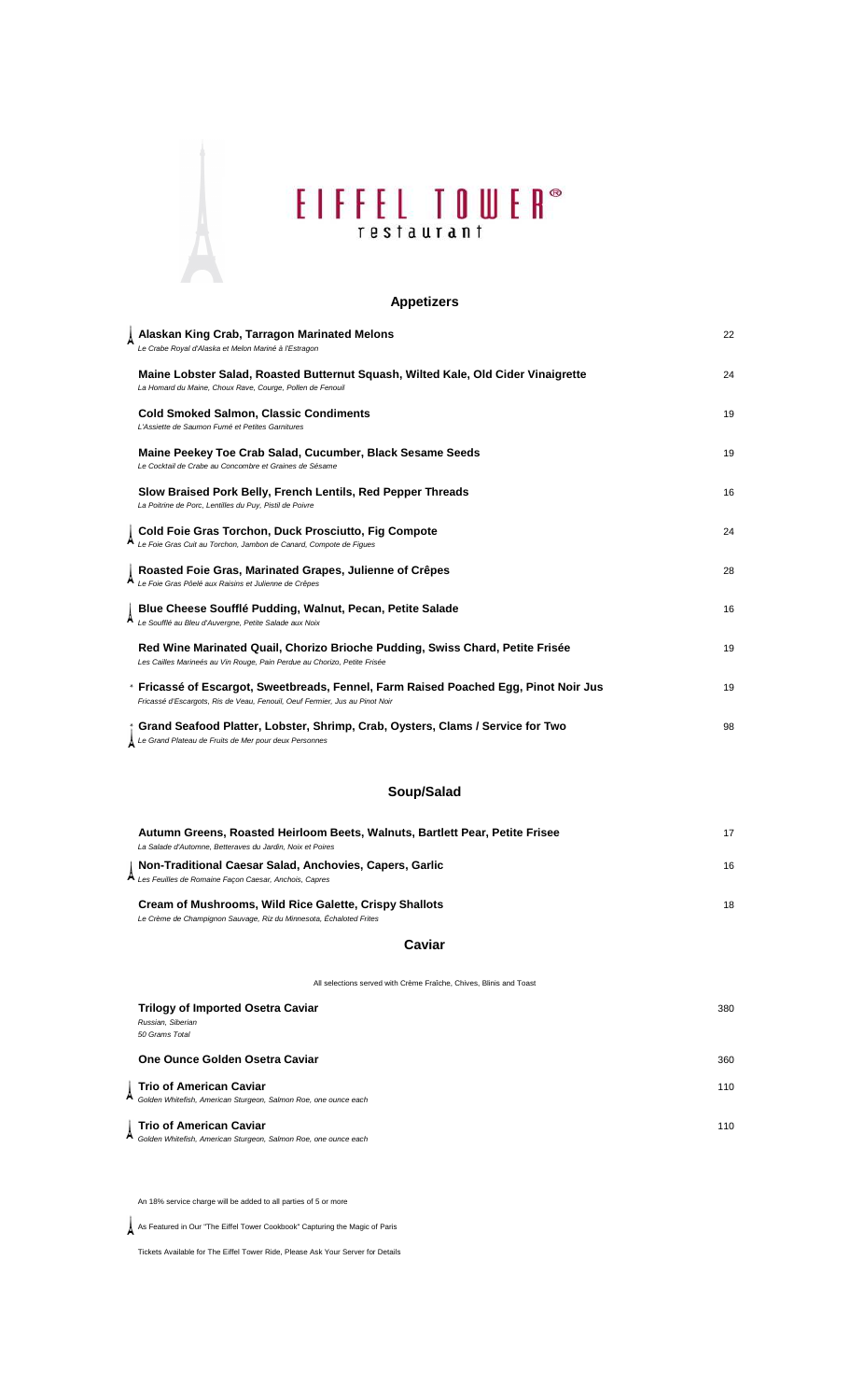# EIFFEL TOWER<sup>®</sup>

### **Appetizers**

| Alaskan King Crab, Tarragon Marinated Melons<br>Le Crabe Royal d'Alaska et Melon Mariné à l'Estragon                                                                | 22 |
|---------------------------------------------------------------------------------------------------------------------------------------------------------------------|----|
| Maine Lobster Salad, Roasted Butternut Squash, Wilted Kale, Old Cider Vinaigrette<br>La Homard du Maine, Choux Rave, Courge, Pollen de Fenouil                      | 24 |
| <b>Cold Smoked Salmon, Classic Condiments</b><br>L'Assiette de Saumon Fumé et Petites Garnitures                                                                    | 19 |
| Maine Peekey Toe Crab Salad, Cucumber, Black Sesame Seeds<br>Le Cocktail de Crabe au Concombre et Graines de Sésame                                                 | 19 |
| Slow Braised Pork Belly, French Lentils, Red Pepper Threads<br>La Poitrine de Porc, Lentilles du Puy, Pistil de Poivre                                              | 16 |
| Cold Foie Gras Torchon, Duck Prosciutto, Fig Compote<br>Le Foie Gras Cuit au Torchon, Jambon de Canard, Compote de Figues                                           | 24 |
| Roasted Foie Gras, Marinated Grapes, Julienne of Crêpes<br>Le Foie Gras Pôelé aux Raisins et Julienne de Crêpes                                                     | 28 |
| Blue Cheese Soufflé Pudding, Walnut, Pecan, Petite Salade<br>Le Soufflé au Bleu d'Auvergne, Petite Salade aux Noix                                                  | 16 |
| Red Wine Marinated Quail, Chorizo Brioche Pudding, Swiss Chard, Petite Frisée<br>Les Cailles Marineés au Vin Rouge, Pain Perdue au Chorizo, Petite Frisée           | 19 |
| * Fricassé of Escargot, Sweetbreads, Fennel, Farm Raised Poached Egg, Pinot Noir Jus<br>Fricassé d'Escargots, Ris de Veau, Fenouil, Oeuf Fermier, Jus au Pinot Noir | 19 |
| Grand Seafood Platter, Lobster, Shrimp, Crab, Oysters, Clams / Service for Two<br>∆ Le Grand Plateau de Fruits de Mer pour deux Personnes                           | 98 |

### **Soup/Salad**

| Autumn Greens, Roasted Heirloom Beets, Walnuts, Bartlett Pear, Petite Frisee<br>La Salade d'Automne. Betteraves du Jardin. Noix et Poires | 17 |
|-------------------------------------------------------------------------------------------------------------------------------------------|----|
| Non-Traditional Caesar Salad, Anchovies, Capers, Garlic<br>A Les Feuilles de Romaine Façon Caesar, Anchois, Capres                        | 16 |
| Cream of Mushrooms, Wild Rice Galette, Crispy Shallots<br>Le Crème de Champignon Sauvage, Riz du Minnesota, Échaloted Frites              | 18 |

#### **Caviar**

All selections served with Crème Fraîche, Chives, Blinis and Toast

| <b>Trilogy of Imported Osetra Caviar</b>                        | 380 |
|-----------------------------------------------------------------|-----|
| Russian, Siberian                                               |     |
| 50 Grams Total                                                  |     |
| One Ounce Golden Osetra Caviar                                  | 360 |
| <b>Trio of American Caviar</b>                                  | 110 |
| Golden Whitefish, American Sturgeon, Salmon Roe, one ounce each |     |
| <b>Trio of American Caviar</b>                                  | 110 |
| Golden Whitefish, American Sturgeon, Salmon Roe, one ounce each |     |

An 18% service charge will be added to all parties of 5 or more

As Featured in Our "The Eiffel Tower Cookbook" Capturing the Magic of Paris

Tickets Available for The Eiffel Tower Ride, Please Ask Your Server for Details